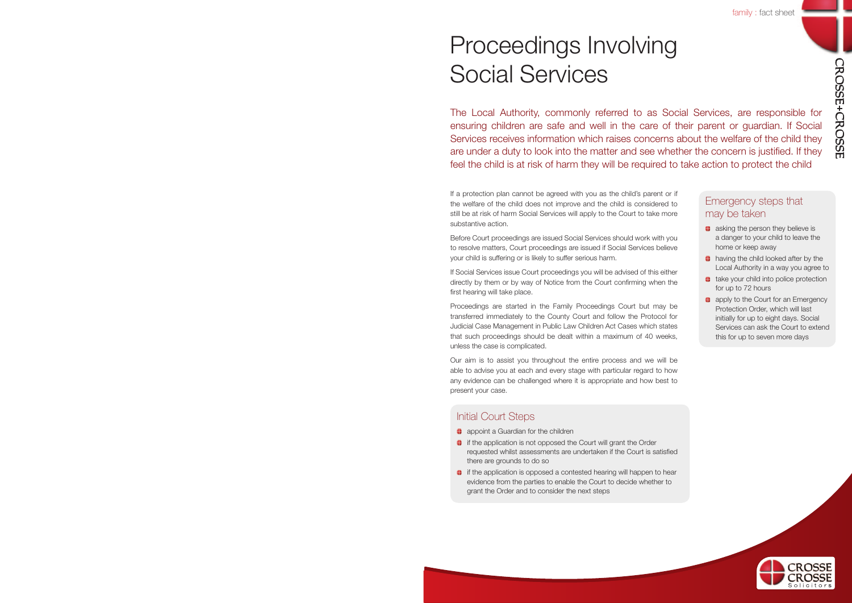CROSSE+CROSSE

# Proceedings Involving Social Services

The Local Authority, commonly referred to as Social Services, are responsible for ensuring children are safe and well in the care of their parent or guardian. If Social Services receives information which raises concerns about the welfare of the child they are under a duty to look into the matter and see whether the concern is justified. If they feel the child is at risk of harm they will be required to take action to protect the child

If a protection plan cannot be agreed with you as the child's parent or if the welfare of the child does not improve and the child is considered to still be at risk of harm Social Services will apply to the Court to take more substantive action.

Before Court proceedings are issued Social Services should work with you to resolve matters, Court proceedings are issued if Social Services believe your child is suffering or is likely to suffer serious harm.

If Social Services issue Court proceedings you will be advised of this either directly by them or by way of Notice from the Court confirming when the first hearing will take place.

Proceedings are started in the Family Proceedings Court but may be transferred immediately to the County Court and follow the Protocol for Judicial Case Management in Public Law Children Act Cases which states that such proceedings should be dealt within a maximum of 40 weeks, unless the case is complicated.

Our aim is to assist you throughout the entire process and we will be able to advise you at each and every stage with particular regard to how any evidence can be challenged where it is appropriate and how best to present your case.

## Initial Court Steps

- **a** appoint a Guardian for the children
- $\bullet$  if the application is not opposed the Court will grant the Order requested whilst assessments are undertaken if the Court is satisfied there are grounds to do so
- $\bullet$  if the application is opposed a contested hearing will happen to hear evidence from the parties to enable the Court to decide whether to grant the Order and to consider the next steps

## Emergency steps that may be taken

- **asking the person they believe is** a danger to your child to leave the home or keep away
- **having the child looked after by the** Local Authority in a way you agree to
- **take your child into police protection** for up to 72 hours
- **a** apply to the Court for an Emergency Protection Order, which will last initially for up to eight days. Social Services can ask the Court to extend this for up to seven more days

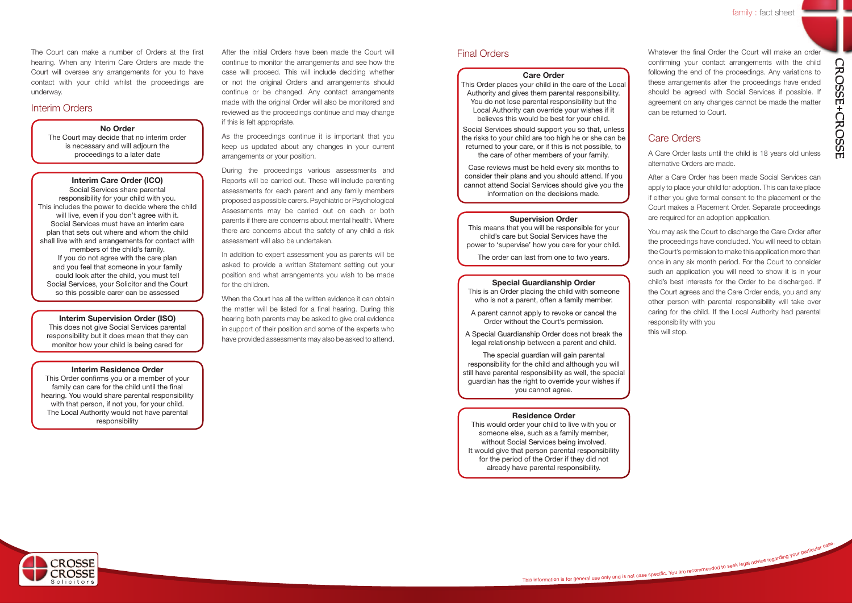After the initial Orders have been made the Court will continue to monitor the arrangements and see how the case will proceed. This will include deciding whether or not the original Orders and arrangements should continue or be changed. Any contact arrangements made with the original Order will also be monitored and reviewed as the proceedings continue and may change if this is felt appropriate.

As the proceedings continue it is important that you keep us updated about any changes in your current arrangements or your position.

During the proceedings various assessments and Reports will be carried out. These will include parenting assessments for each parent and any family members proposed as possible carers. Psychiatric or Psychological Assessments may be carried out on each or both parents if there are concerns about mental health. Where there are concerns about the safety of any child a risk assessment will also be undertaken.

In addition to expert assessment you as parents will be asked to provide a written Statement setting out your position and what arrangements you wish to be made for the children.

When the Court has all the written evidence it can obtain the matter will be listed for a final hearing. During this hearing both parents may be asked to give oral evidence in support of their position and some of the experts who have provided assessments may also be asked to attend.

Whatever the final Order the Court will make an order confirming your contact arrangements with the child following the end of the proceedings. Any variations to these arrangements after the proceedings have ended should be agreed with Social Services if possible. If agreement on any changes cannot be made the matter can be returned to Court.

## Care Orders

A Care Order lasts until the child is 18 years old unless alternative Orders are made.

After a Care Order has been made Social Services can apply to place your child for adoption. This can take place if either you give formal consent to the placement or the Court makes a Placement Order. Separate proceedings are required for an adoption application.

You may ask the Court to discharge the Care Order after the proceedings have concluded. You will need to obtain the Court's permission to make this application more than once in any six month period. For the Court to consider such an application you will need to show it is in your child's best interests for the Order to be discharged. If the Court agrees and the Care Order ends, you and any other person with parental responsibility will take over caring for the child. If the Local Authority had parental responsibility with you this will stop.

This information is for general use only and is not case specific. You are recommended to seek legal advice regarding your particular case.

## **No Order**

The Court may decide that no interim order is necessary and will adjourn the proceedings to a later date

**Interim Supervision Order (ISO)** 

This does not give Social Services parental responsibility but it does mean that they can monitor how your child is being cared for

### **Interim Residence Order**

This Order confirms you or a member of your family can care for the child until the final hearing. You would share parental responsibility with that person, if not you, for your child. The Local Authority would not have parental responsibility

## **Interim Care Order (ICO)**

Social Services share parental responsibility for your child with you. This includes the power to decide where the child will live, even if you don't agree with it. Social Services must have an interim care plan that sets out where and whom the child shall live with and arrangements for contact with members of the child's family. If you do not agree with the care plan and you feel that someone in your family could look after the child, you must tell Social Services, your Solicitor and the Court so this possible carer can be assessed

The Court can make a number of Orders at the first hearing. When any Interim Care Orders are made the Court will oversee any arrangements for you to have contact with your child whilst the proceedings are underway.

## Interim Orders

### **Care Order**

This Order places your child in the care of the Local Authority and gives them parental responsibility. You do not lose parental responsibility but the Local Authority can override your wishes if it believes this would be best for your child.

Social Services should support you so that, unless the risks to your child are too high he or she can be returned to your care, or if this is not possible, to the care of other members of your family.

Case reviews must be held every six months to consider their plans and you should attend. If you cannot attend Social Services should give you the information on the decisions made.

## **Special Guardianship Order**

This is an Order placing the child with someone who is not a parent, often a family member.

A parent cannot apply to revoke or cancel the Order without the Court's permission.

A Special Guardianship Order does not break the legal relationship between a parent and child.

The special guardian will gain parental responsibility for the child and although you will still have parental responsibility as well, the special guardian has the right to override your wishes if you cannot agree.

#### **Residence Order**

This would order your child to live with you or someone else, such as a family member, without Social Services being involved. It would give that person parental responsibility for the period of the Order if they did not already have parental responsibility.



### **Supervision Order**

This means that you will be responsible for your child's care but Social Services have the power to 'supervise' how you care for your child.

The order can last from one to two years.

## Final Orders